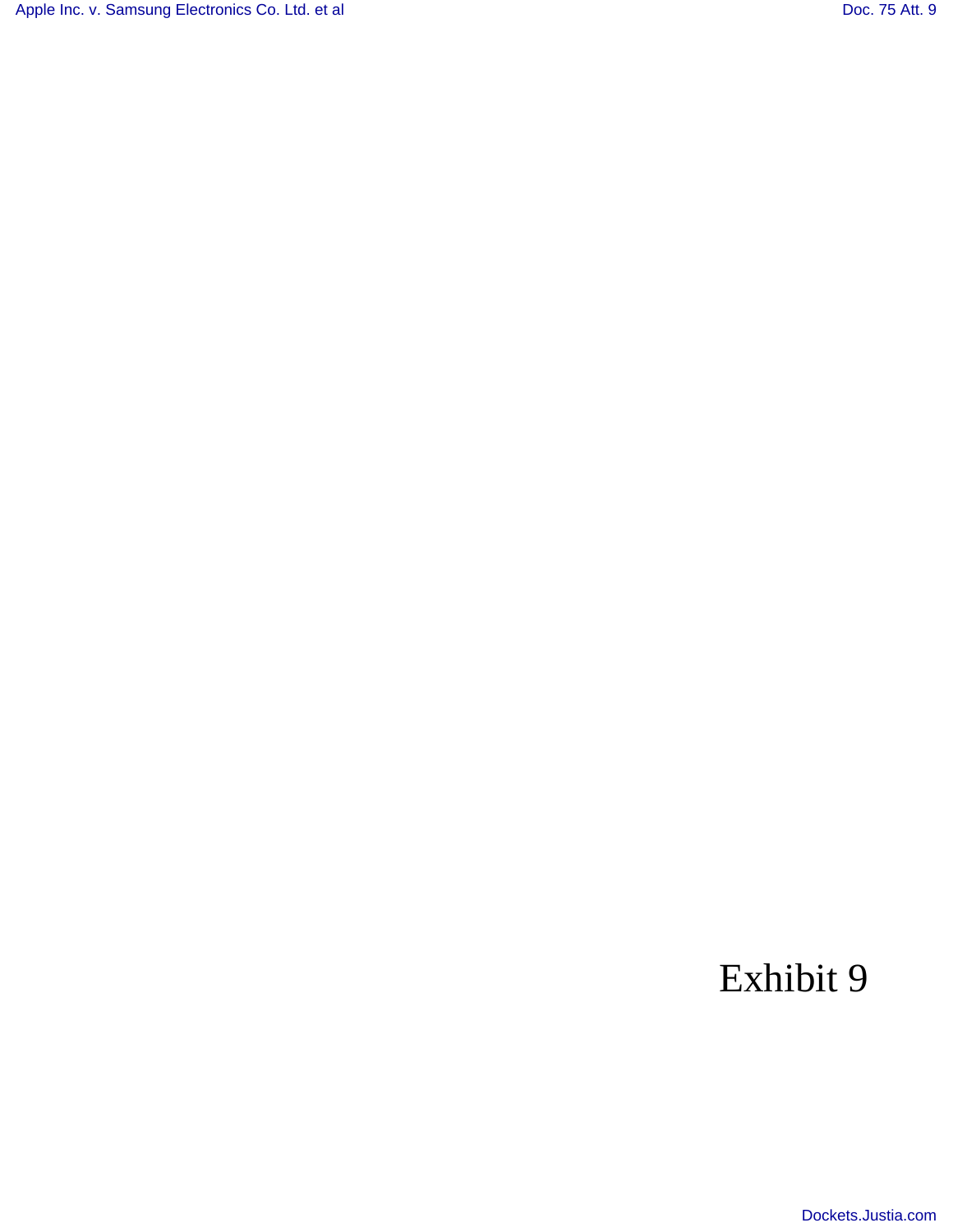[Apple Inc. v. Samsung Electronics Co. Ltd. et al](http://dockets.justia.com/docket/california/candce/5:2011cv01846/239768/) [Doc. 75 Att. 9](http://docs.justia.com/cases/federal/district-courts/california/candce/5:2011cv01846/239768/75/9.html)

# Exhibit 9

[Dockets.Justia.com](http://dockets.justia.com/)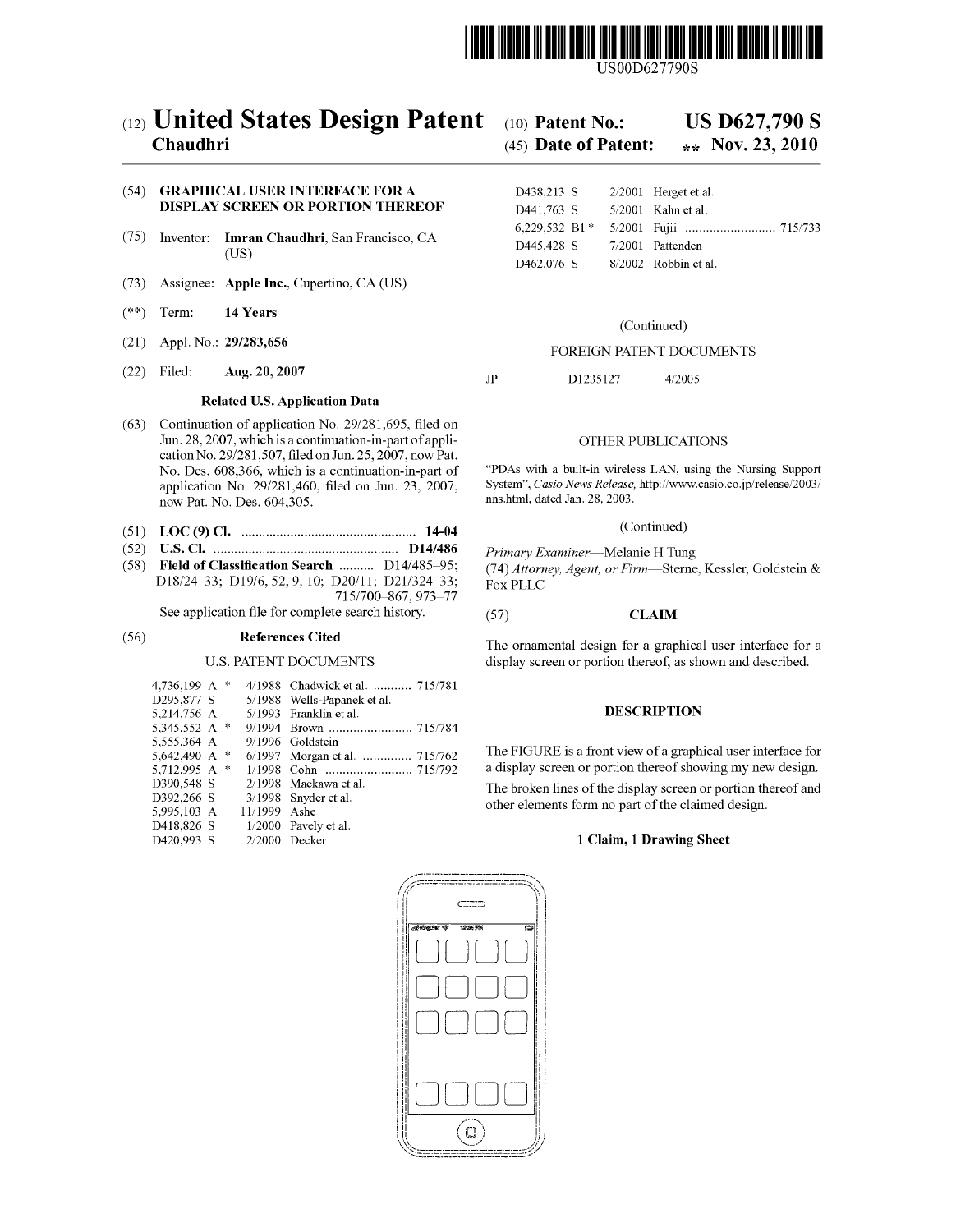

USOOD627790S

# (12) **United States Design Patent** Chaudhri

# (54) GRAPHICAL USER INTERFACE FOR A DISPLAY SCREEN OR PORTION THEREOF

- (75) Inventor: Imran Chaudhri, San Francisco, CA  $(1)$ S)
- (73) Assignee: Apple Inc., Cupertino, CA (US)
- $(**)$  Term: 14 Years
- (21) Appl. No.: *291283,656*
- 

# Related U.S. Application Data

- (63) Continuation of application No. 29/281,695, filed on Jun. 28, 2007, which is a continuation-in-part of application No. 29/281,507, filed on Jun. 25, 2007, now Pat. No. Des. 608,366, which is a continuation-in-part of application No. 29/281,460, filed on Jun. 23, 2007, now Pat. No. Des. 604,305.
- (51) LOC (9) Cl. 14-04
- (52) U.S. Cl. D14/486
- $(58)$  Field of Classification Search ..........  $D14/485-95;$ 018/24-33; 019/6,52,9,10; D20/11; D21/324-33; 715/700-867, 973-77

See application file for complete search history.

# (56) References Cited

# U.S. PATENT DOCUMENTS

| 4.736.199 A $*$ |  |              | 4/1988 Chadwick et al.  715/781 |
|-----------------|--|--------------|---------------------------------|
| D295,877 S      |  |              | 5/1988 Wells-Papanek et al.     |
| 5,214,756 A     |  |              | 5/1993 Franklin et al.          |
| 5,345,552 A *   |  |              |                                 |
| 5.555.364 A     |  |              | 9/1996 Goldstein                |
| 5.642.490 A $*$ |  |              | 6/1997 Morgan et al.  715/762   |
| 5.712.995 A *   |  |              |                                 |
| D390.548 S      |  |              | 2/1998 Maekawa et al.           |
| D392.266 S      |  |              | $3/1998$ Snyder et al.          |
| 5.995.103 A     |  | 11/1999 Ashe |                                 |
| D418.826 S      |  |              | $1/2000$ Pavely et al.          |
| D420,993 S      |  |              | $2/2000$ Decker                 |

#### (10) Patent No.: US D627,790 S

#### (45) Date of Patent: \*\* Nov. 23, 2010

| D438,213 S       | $2/2001$ Herget et al. |
|------------------|------------------------|
| D441,763 S       | $5/2001$ Kahn et al.   |
| 6,229,532 B1 $*$ |                        |
| D445.428 S       | 7/2001 Pattenden       |
| D462,076 S       | $8/2002$ Robbin et al. |

# (Continued)

# FOREIGN PATENT DOCUMENTS

(22) Filed: **Aug. 20, 2007** JP D1235127 4/2005

# OTHER PUBLICATIONS

"PDAs with a built-in wireless LAN, using the Nursing Support System", *Casio News Release,* http://www.casio.cojp/release/2003/ nns.html, dated Jan. 28, 2003.

### (Continued)

*Primary Examiner-Melanie* H Tung *(74) Attorney, Agent, or Firm-Sterne,* Kessler, Goldstein & FoxPLLC

# (57) CLAIM

The ornamental design for a graphical user interface for a display screen or portion thereof, as shown and described.

# DESCRIPTION

The FIGURE is a front view of a graphical user interface for a display screen or portion thereof showing my new design.

The broken lines of the display screen or portion thereof and other elements form no part of the claimed design.

# 1 Claim, 1 Drawing Sheet

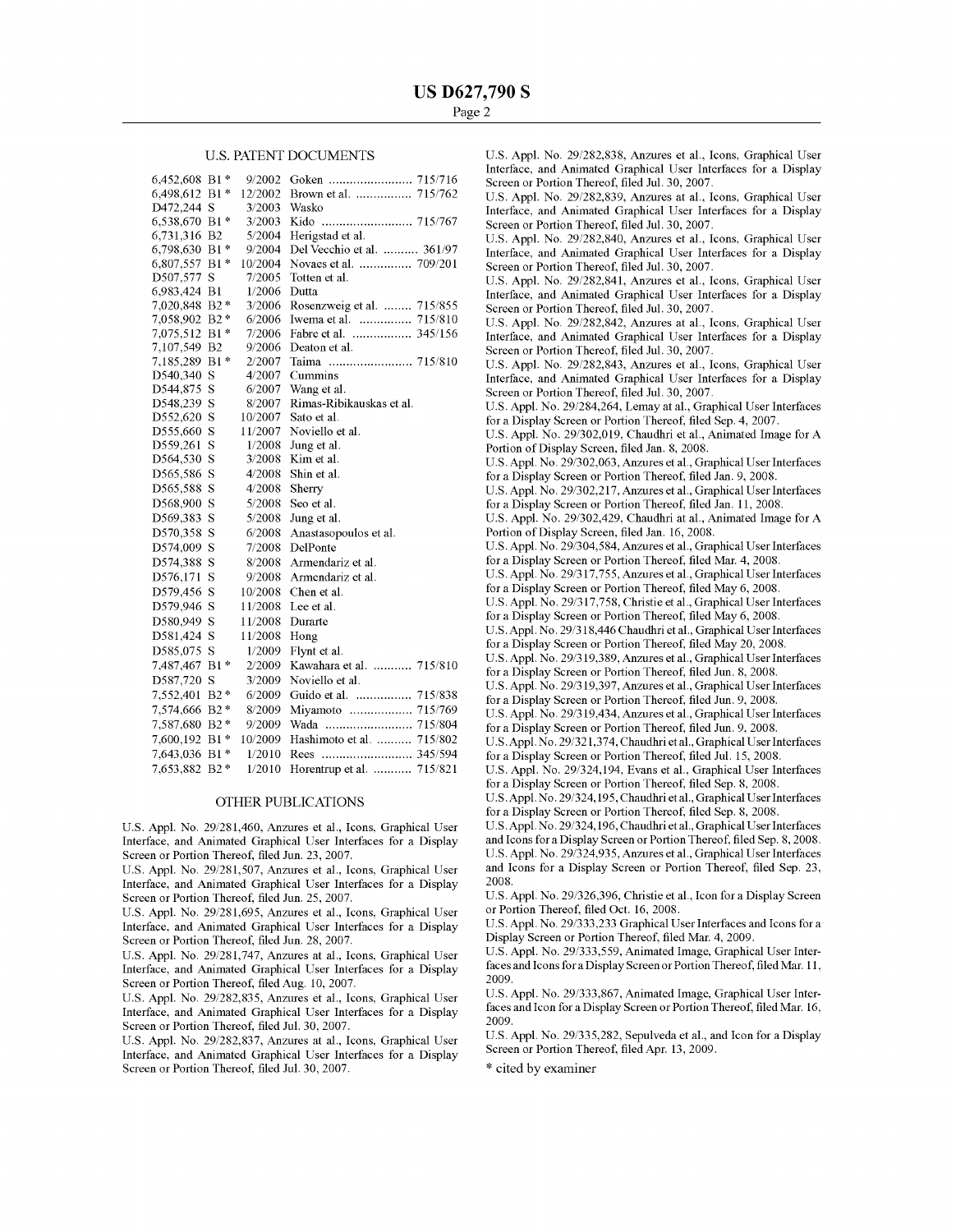#### u.s. PATENT DOCUMENTS

| 6,452,608 B1*  |                | 9/2002  |                             |
|----------------|----------------|---------|-----------------------------|
| 6,498,612      | B1 *           | 12/2002 | Brown et al.  715/762       |
| D472,244       | S              | 3/2003  | Wasko                       |
| 6,538,670      | $B1*$          | 3/2003  |                             |
| 6,731,316      | B <sub>2</sub> | 5/2004  | Herigstad et al.            |
| 6,798,630      | $B1*$          | 9/2004  | Del Vecchio et al.  361/97  |
| 6,807,557      | B1 *           | 10/2004 | Novaes et al.  709/201      |
| D507,577       | S              | 7/2005  | Totten et al.               |
| 6,983,424 B1   |                | 1/2006  | Dutta                       |
| 7,020,848 B2 * |                | 3/2006  | Rosenzweig et al.  715/855  |
| 7,058,902      | $B2*$          | 6/2006  | Iwema et al.  715/810       |
| 7,075,512      | B1 *           | 7/2006  | Fabre et al.  345/156       |
| 7,107,549      | B <sub>2</sub> | 9/2006  | Deaton et al.               |
| 7,185,289      | $B1*$          | 2/2007  | Taima  715/810              |
| D540,340       | S              | 4/2007  | Cummins                     |
| D544,875       | S              | 6/2007  | Wang et al.                 |
| D548,239       | S              | 8/2007  | Rimas-Ribikauskas et al.    |
| D552,620       | S              | 10/2007 | Sato et al.                 |
| D555,660       | S              | 11/2007 | Noviello et al.             |
| D559,261       | S              | 1/2008  | Jung et al.                 |
| D564,530       | S              | 3/2008  | Kim et al.                  |
| D565,586       | S              | 4/2008  | Shin et al.                 |
| D565,588       | S              | 4/2008  | Sherry                      |
| D568,900       | S              | 5/2008  | Seo et al.                  |
| D569,383       | S              | 5/2008  | Jung et al.                 |
| D570,358       | S              | 6/2008  | Anastasopoulos et al.       |
| D574,009       | S              | 7/2008  | DelPonte                    |
| D574,388       | S              | 8/2008  | Armendariz et al.           |
| D576,171       | S              | 9/2008  | Armendariz et al.           |
| D579,456       | S              | 10/2008 | Chen et al.                 |
| D579,946       | S              | 11/2008 | Lee et al.                  |
|                | S              |         |                             |
| D580,949       |                | 11/2008 | Durarte                     |
| D581,424       | S              | 11/2008 | Hong                        |
| D585,075       | S              | 1/2009  | Flynt et al.                |
| 7,487,467      | $B1*$          | 2/2009  | Kawahara et al.  715/810    |
| D587,720       | S              | 3/2009  | Noviello et al.             |
| 7,552,401      | $B2*$          | 6/2009  | Guido et al.  715/838       |
| 7,574,666      | $B2*$          | 8/2009  | Miyamoto  715/769           |
| 7,587,680      | $B2*$          | 9/2009  | 715/804<br>Wada             |
| 7,600,192      | B1 *           | 10/2009 | Hashimoto et al.<br>715/802 |
| 7,643,036      | $B1*$          | 1/2010  |                             |
| 7.653.882      | $B2*$          | 1/2010  | Horentrup et al.<br>715/821 |

## OTHER PUBLICATIONS

U.S. Appl. No. 29/281,460, Anzures et al., Icons, Graphical User Interface, and Animated Graphical User Interfaces for a Display Screen or Portion Thereof, filed Jun. 23, 2007.

U.S. Appl. No. 29/281,507, Anzures et al., Icons, Graphical User Interface, and Animated Graphical User Interfaces for a Display Screen or Portion Thereof, filed Jun. 25, 2007.

U.S. Appl. No. 29/281,695, Anzures et al., Icons, Graphical User Interface, and Animated Graphical User Interfaces for a Display Screen or Portion Thereof, filed Jun. 28, 2007.

U.S. Appl. No. 29/281,747, Anzures at al., Icons, Graphical User Interface, and Animated Graphical User Interfaces for a Display Screen or Portion Thereof, filed Aug. 10,2007.

U.S. Appl. No. 29/282,835, Anzures et al., Icons, Graphical User Interface, and Animated Graphical User Interfaces for a Display Screen or Portion Thereof, filed Jul. 30, 2007.

U.S. Appl. No. 29/282,837, Anzures at al., Icons, Graphical User Interface, and Animated Graphical User Interfaces for a Display Screen or Portion Thereof, filed Jul. 30, 2007.

U.S. Appl. No. 29/282,838, Anzures et aI., Icons, Graphical User Interface, and Animated Graphical User Interfaces for a Display Screen or Portion Thereof, filed Jul. 30, 2007.

U.S. Appl. No. 29/282,839, Anzures at aI., Icons, Graphical User Interface, and Animated Graphical User Interfaces for a Display Screen or Portion Thereof, filed Jul. 30, 2007.

U.S. Appl. No. 29/282,840, Anzures et aI., Icons, Graphical User Interface, and Animated Graphical User Interfaces for a Display Screen or Portion Thereof, filed Jul. 30, 2007.

U.S. Appl. No. 29/282,841, Anzures et aI., Icons, Graphical User Interface, and Animated Graphical User Interfaces for a Display Screen or Portion Thereof, filed Jul. 30, 2007.

U.S. Appl. No. 29/282,842, Anzures at aI., Icons, Graphical User Interface, and Animated Graphical User Interfaces for a Display Screen or Portion Thereof, filed Jul. 30, 2007.

U.S. Appl. No. 29/282,843, Anzures et aI., Icons, Graphical User Interface, and Animated Graphical User Interfaces for a Display Screen or Portion Thereof, filed Jul. 30, 2007.

U.S. Appl. No. 29/284,264, Lemay at aI., Graphical User Interfaces for a Display Screen or Portion Thereof, filed Sep. 4, 2007.

U.S. Appl. No. 29/302,019, Chaudhri et aI., Animated Image for A Portion of Display Screen, filed Jan. 8, 200S.

U.S. Appl. No. 29/302,063, Anzures et aI., Graphical User Interfaces for a Display Screen or Portion Thereof, filed Jan. 9, 2008.

U.S. Appl. No. 29/302,217, Anzures et aI., Graphical User Interfaces for a Display Screen or Portion Thereof, filed Jan. 11, 200S.

U.S. Appl. No. 29/302,429, Chaudhri at aI., Animated Image for A Portion of Display Screen, filed Jan. 16, 2008.

U.S. Appl. No. 29/304,584, Anzures et aI., Graphical User Interfaces for a Display Screen or Portion Thereof, filed Mar. 4, 2008.

U.S. Appl. No. 29/317,755, Anzures et aI., Graphical User Interfaces for a Display Screen or Portion Thereof, filed May 6,2008.

U.S. Appl. No. 29/317,758, Christie et al., Graphical User Interfaces for a Display Screen or Portion Thereof, filed May 6, 2008.

U.S. Appl. No. 29/318,446 Chaudhri etal., Graphical User Interfaces for a Display Screen or Portion Thereof, filed May 20, 200S.

U.S. Appl. No. 29/319,389, Anzures et aI., Graphical User Interfaces

for a Display Screen or Portion Thereof, filed Jun. 8, 200S. U.S. Appl. No. 29/319,397, Anzures et aI., Graphical User Interfaces for a Display Screen or Portion Thereof, filed Jun. 9, 200S.

U.S. Appl. No. 29/319,434, Anzures et aI., Graphical User Interfaces

for a Display Screen or Portion Thereof, filed Jun. 9, 200S. U.S. Appl. No. 29/321,374, Chaudhri etal., Graphical User Interfaces

for a Display Screen or Portion Thereof, filed Jul. 15,2008. U.S. Appl. No. 29/324,194, Evans et aI., Graphical User Interfaces

for a Display Screen or Portion Thereof, filed Sep. 8, 2008. U.S. Appl. No. 29/324, 195, Chaudhri etal., Graphical User Interfaces

for a Display Screen or Portion Thereof, filed Sep. 8, 2008.

U.S. Appl. No. 29/324, 196, Chaudhri etal., Graphical User Interfaces and Icons for a Display Screen or Portion Thereof, filed Sep. 8,2008. U.S. Appl. No. 29/324,935, Anzures et aI., Graphical User Interfaces and Icons for a Display Screen or Portion Thereof, filed Sep. 23, 200S.

U.S. Appl. No. 29/326,396, Christie et aI., Icon for a Display Screen or Portion Thereof, filed Oct. 16, 2008.

U.S. Appl. No. 29/333,233 Graphical User Interfaces and Icons for a Display Screen or Portion Thereof, filed Mar. 4, 2009.

U.S. Appl. No. 29/333,559, Animated Image, Graphical User Interfaces and Icons for a Display Screen or Portion Thereof, filed Mar. 11, 2009.

U.S. Appl. No. 29/333,867, Animated Image, Graphical User Interfaces and Icon for a Display Screen or Portion Thereof, filed Mar. 16, 2009.

U.S. Appl. No. 29/335,282, Sepulveda et aI., and Icon for a Display Screen or Portion Thereof, filed Apr. 13, 2009.

\* cited by examiner